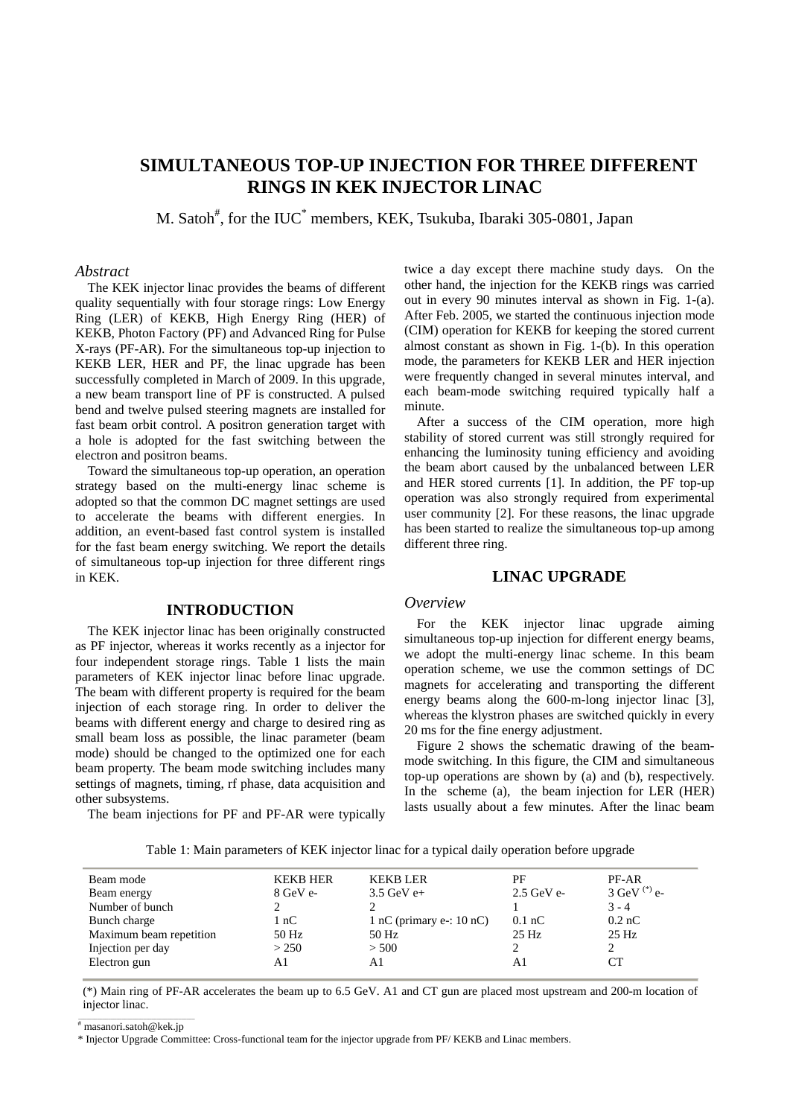# **SIMULTANEOUS TOP-UP INJECTION FOR THREE DIFFERENT RINGS IN KEK INJECTOR LINAC**

M. Satoh<sup>#</sup>, for the IUC<sup>\*</sup> members, KEK, Tsukuba, Ibaraki 305-0801, Japan

### *Abstract*

The KEK injector linac provides the beams of different quality sequentially with four storage rings: Low Energy Ring (LER) of KEKB, High Energy Ring (HER) of KEKB, Photon Factory (PF) and Advanced Ring for Pulse X-rays (PF-AR). For the simultaneous top-up injection to KEKB LER, HER and PF, the linac upgrade has been successfully completed in March of 2009. In this upgrade, a new beam transport line of PF is constructed. A pulsed bend and twelve pulsed steering magnets are installed for fast beam orbit control. A positron generation target with a hole is adopted for the fast switching between the electron and positron beams.

Toward the simultaneous top-up operation, an operation strategy based on the multi-energy linac scheme is adopted so that the common DC magnet settings are used to accelerate the beams with different energies. In addition, an event-based fast control system is installed for the fast beam energy switching. We report the details of simultaneous top-up injection for three different rings in KEK.

## **INTRODUCTION**

The KEK injector linac has been originally constructed as PF injector, whereas it works recently as a injector for four independent storage rings. Table 1 lists the main parameters of KEK injector linac before linac upgrade. The beam with different property is required for the beam injection of each storage ring. In order to deliver the beams with different energy and charge to desired ring as small beam loss as possible, the linac parameter (beam mode) should be changed to the optimized one for each beam property. The beam mode switching includes many settings of magnets, timing, rf phase, data acquisition and other subsystems.

The beam injections for PF and PF-AR were typically

twice a day except there machine study days. On the other hand, the injection for the KEKB rings was carried out in every 90 minutes interval as shown in Fig. 1-(a). After Feb. 2005, we started the continuous injection mode (CIM) operation for KEKB for keeping the stored current almost constant as shown in Fig. 1-(b). In this operation mode, the parameters for KEKB LER and HER injection were frequently changed in several minutes interval, and each beam-mode switching required typically half a minute.

After a success of the CIM operation, more high stability of stored current was still strongly required for enhancing the luminosity tuning efficiency and avoiding the beam abort caused by the unbalanced between LER and HER stored currents [1]. In addition, the PF top-up operation was also strongly required from experimental user community [2]. For these reasons, the linac upgrade has been started to realize the simultaneous top-up among different three ring.

### **LINAC UPGRADE**

#### *Overview*

For the KEK injector linac upgrade aiming simultaneous top-up injection for different energy beams, we adopt the multi-energy linac scheme. In this beam operation scheme, we use the common settings of DC magnets for accelerating and transporting the different energy beams along the 600-m-long injector linac [3], whereas the klystron phases are switched quickly in every 20 ms for the fine energy adjustment.

Figure 2 shows the schematic drawing of the beammode switching. In this figure, the CIM and simultaneous top-up operations are shown by (a) and (b), respectively. In the scheme (a), the beam injection for LER (HER) lasts usually about a few minutes. After the linac beam

Table 1: Main parameters of KEK injector linac for a typical daily operation before upgrade

| Beam mode               | <b>KEKB HER</b>    | <b>KEKB LER</b>            | РF           | PF-AR          |  |
|-------------------------|--------------------|----------------------------|--------------|----------------|--|
| Beam energy             | $8 \text{ GeV}$ e- | $3.5$ GeV e+               | $2.5$ GeV e- | 3 GeV $(*)$ e- |  |
| Number of bunch         |                    |                            |              | $3 - 4$        |  |
| Bunch charge            | 1 nC               | 1 nC (primary e-: $10$ nC) | $0.1$ nC     | $0.2$ nC       |  |
| Maximum beam repetition | 50 Hz              | 50 Hz                      | 25 Hz        | $25$ Hz        |  |
| Injection per day       | > 250              | > 500                      |              |                |  |
| Electron gun            | A1                 | A1                         | A1           |                |  |
|                         |                    |                            |              |                |  |

(\*) Main ring of PF-AR accelerates the beam up to 6.5 GeV. A1 and CT gun are placed most upstream and 200-m location of injector linac.

# masanori.satoh@kek.jp

\* Injector Upgrade Committee: Cross-functional team for the injector upgrade from PF/ KEKB and Linac members.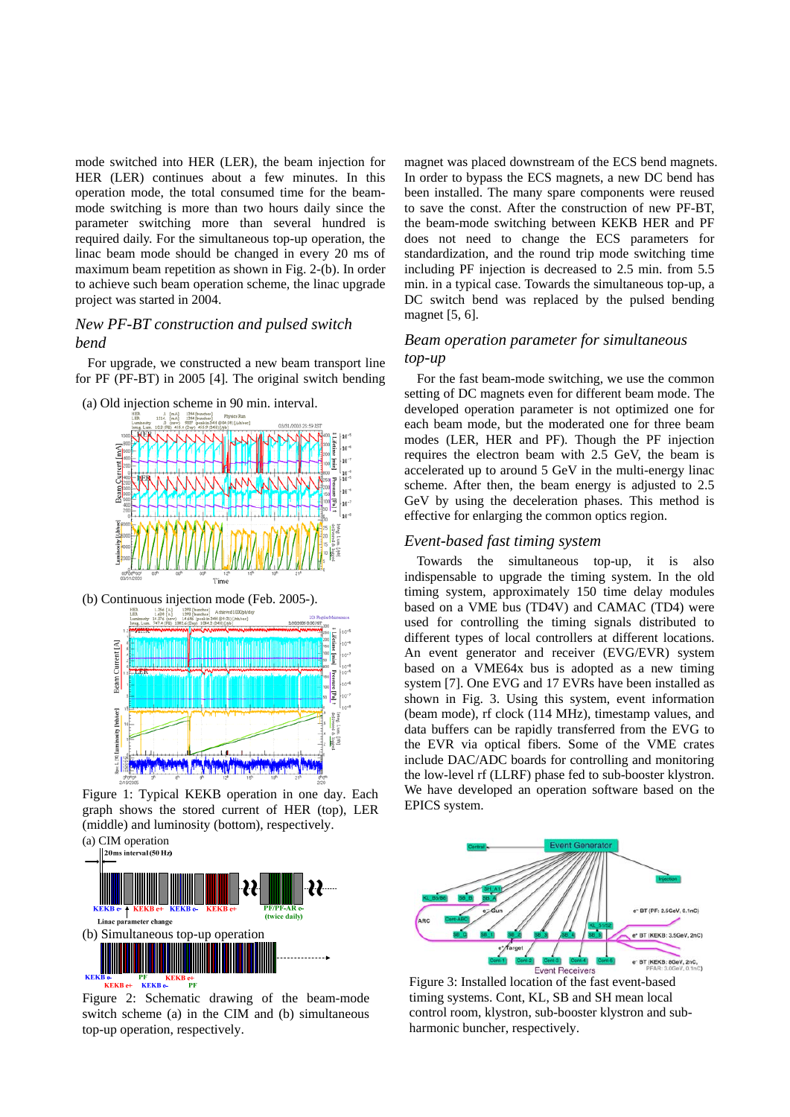mode switched into HER (LER), the beam injection for HER (LER) continues about a few minutes. In this operation mode, the total consumed time for the beammode switching is more than two hours daily since the parameter switching more than several hundred is required daily. For the simultaneous top-up operation, the linac beam mode should be changed in every 20 ms of maximum beam repetition as shown in Fig. 2-(b). In order to achieve such beam operation scheme, the linac upgrade project was started in 2004.

# *New PF-BT construction and pulsed switch bend*

For upgrade, we constructed a new beam transport line for PF (PF-BT) in 2005 [4]. The original switch bending





(b) Continuous injection mode (Feb. 2005-).



Figure 1: Typical KEKB operation in one day. Each graph shows the stored current of HER (top), LER (middle) and luminosity (bottom), respectively.



Figure 2: Schematic drawing of the beam-mode switch scheme (a) in the CIM and (b) simultaneous top-up operation, respectively.

magnet was placed downstream of the ECS bend magnets. In order to bypass the ECS magnets, a new DC bend has been installed. The many spare components were reused to save the const. After the construction of new PF-BT, the beam-mode switching between KEKB HER and PF does not need to change the ECS parameters for standardization, and the round trip mode switching time including PF injection is decreased to 2.5 min. from 5.5 min. in a typical case. Towards the simultaneous top-up, a DC switch bend was replaced by the pulsed bending magnet [5, 6].

# *Beam operation parameter for simultaneous top-up*

For the fast beam-mode switching, we use the common setting of DC magnets even for different beam mode. The developed operation parameter is not optimized one for each beam mode, but the moderated one for three beam modes (LER, HER and PF). Though the PF injection requires the electron beam with 2.5 GeV, the beam is accelerated up to around 5 GeV in the multi-energy linac scheme. After then, the beam energy is adjusted to 2.5 GeV by using the deceleration phases. This method is effective for enlarging the common optics region.

#### *Event-based fast timing system*

Towards the simultaneous top-up, it is also indispensable to upgrade the timing system. In the old timing system, approximately 150 time delay modules based on a VME bus (TD4V) and CAMAC (TD4) were used for controlling the timing signals distributed to different types of local controllers at different locations. An event generator and receiver (EVG/EVR) system based on a VME64x bus is adopted as a new timing system [7]. One EVG and 17 EVRs have been installed as shown in Fig. 3. Using this system, event information (beam mode), rf clock (114 MHz), timestamp values, and data buffers can be rapidly transferred from the EVG to the EVR via optical fibers. Some of the VME crates include DAC/ADC boards for controlling and monitoring the low-level rf (LLRF) phase fed to sub-booster klystron. We have developed an operation software based on the EPICS system.



Figure 3: Installed location of the fast event-based timing systems. Cont, KL, SB and SH mean local control room, klystron, sub-booster klystron and subharmonic buncher, respectively.